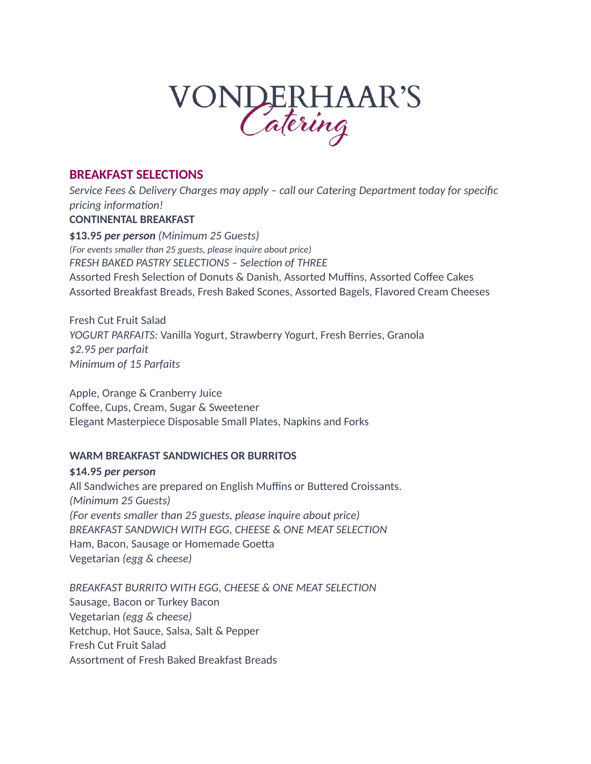# VONDERHAAR'S

# **BREAKFAST SELECTIONS**

*Service Fees & Delivery Charges may apply – call our Catering Department today for specific pricing information!* **CONTINENTAL BREAKFAST \$13.95** *per person (Minimum 25 Guests) (For events smaller than 25 guests, please inquire about price) FRESH BAKED PASTRY SELECTIONS – Selection of THREE* Assorted Fresh Selection of Donuts & Danish, Assorted Muffins, Assorted Coffee Cakes Assorted Breakfast Breads, Fresh Baked Scones, Assorted Bagels, Flavored Cream Cheeses

Fresh Cut Fruit Salad *YOGURT PARFAITS:* Vanilla Yogurt, Strawberry Yogurt, Fresh Berries, Granola *\$2.95 per parfait Minimum of 15 Parfaits* 

Apple, Orange & Cranberry Juice Coffee, Cups, Cream, Sugar & Sweetener Elegant Masterpiece Disposable Small Plates, Napkins and Forks

# **WARM BREAKFAST SANDWICHES OR BURRITOS**

**\$14.95** *per person* All Sandwiches are prepared on English Muffins or Buttered Croissants. *(Minimum 25 Guests) (For events smaller than 25 guests, please inquire about price) BREAKFAST SANDWICH WITH EGG, CHEESE & ONE MEAT SELECTION*  Ham, Bacon, Sausage or Homemade Goetta Vegetarian *(egg & cheese)*

*BREAKFAST BURRITO WITH EGG, CHEESE & ONE MEAT SELECTION*  Sausage, Bacon or Turkey Bacon Vegetarian *(egg & cheese)* Ketchup, Hot Sauce, Salsa, Salt & Pepper Fresh Cut Fruit Salad Assortment of Fresh Baked Breakfast Breads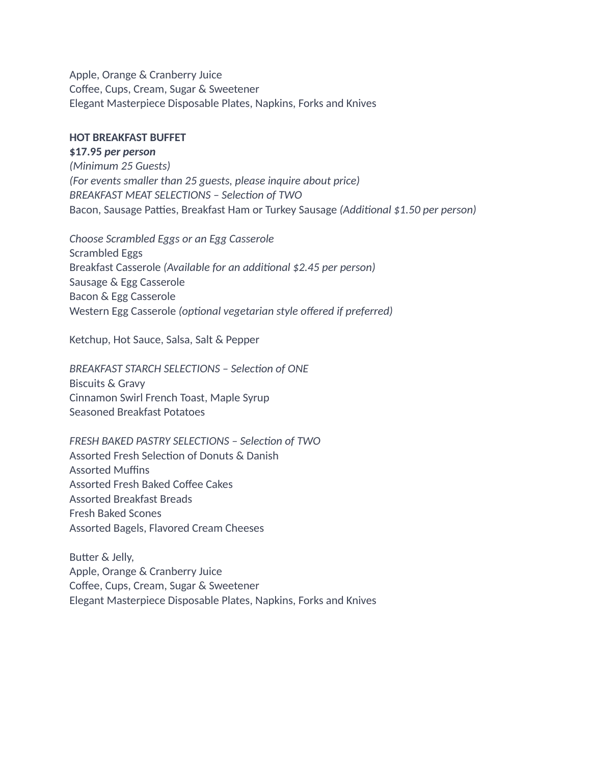Apple, Orange & Cranberry Juice Coffee, Cups, Cream, Sugar & Sweetener Elegant Masterpiece Disposable Plates, Napkins, Forks and Knives

### **HOT BREAKFAST BUFFET**

**\$17.95** *per person (Minimum 25 Guests) (For events smaller than 25 guests, please inquire about price) BREAKFAST MEAT SELECTIONS – Selection of TWO* Bacon, Sausage Patties, Breakfast Ham or Turkey Sausage *(Additional \$1.50 per person)*

*Choose Scrambled Eggs or an Egg Casserole*  Scrambled Eggs Breakfast Casserole *(Available for an additional \$2.45 per person)* Sausage & Egg Casserole Bacon & Egg Casserole Western Egg Casserole *(optional vegetarian style offered if preferred)*

Ketchup, Hot Sauce, Salsa, Salt & Pepper

*BREAKFAST STARCH SELECTIONS – Selection of ONE* Biscuits & Gravy Cinnamon Swirl French Toast, Maple Syrup Seasoned Breakfast Potatoes

*FRESH BAKED PASTRY SELECTIONS – Selection of TWO* Assorted Fresh Selection of Donuts & Danish Assorted Muffins Assorted Fresh Baked Coffee Cakes Assorted Breakfast Breads Fresh Baked Scones Assorted Bagels, Flavored Cream Cheeses

Butter & Jelly, Apple, Orange & Cranberry Juice Coffee, Cups, Cream, Sugar & Sweetener Elegant Masterpiece Disposable Plates, Napkins, Forks and Knives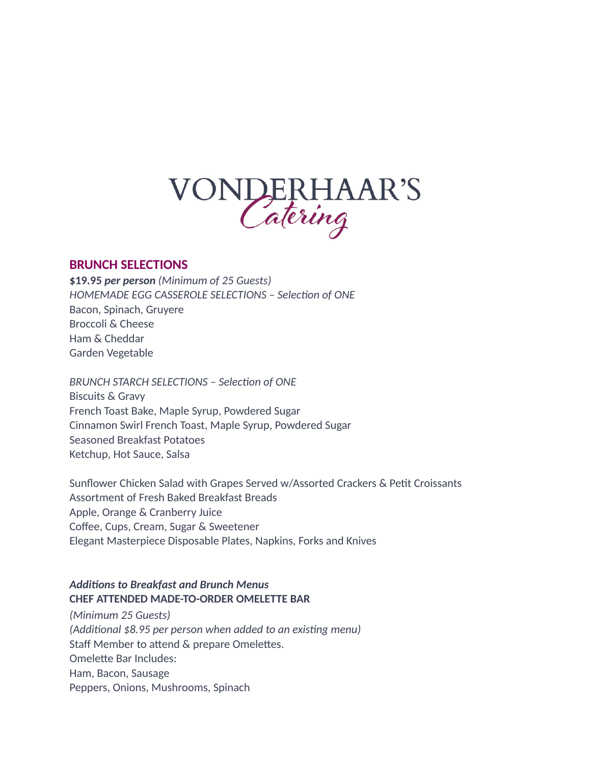

### **BRUNCH SELECTIONS**

**\$19.95** *per person (Minimum of 25 Guests) HOMEMADE EGG CASSEROLE SELECTIONS – Selection of ONE* Bacon, Spinach, Gruyere Broccoli & Cheese Ham & Cheddar Garden Vegetable

*BRUNCH STARCH SELECTIONS – Selection of ONE* Biscuits & Gravy French Toast Bake, Maple Syrup, Powdered Sugar Cinnamon Swirl French Toast, Maple Syrup, Powdered Sugar Seasoned Breakfast Potatoes Ketchup, Hot Sauce, Salsa

Sunflower Chicken Salad with Grapes Served w/Assorted Crackers & Petit Croissants Assortment of Fresh Baked Breakfast Breads Apple, Orange & Cranberry Juice Coffee, Cups, Cream, Sugar & Sweetener Elegant Masterpiece Disposable Plates, Napkins, Forks and Knives

## *Additions to Breakfast and Brunch Menus* **CHEF ATTENDED MADE-TO-ORDER OMELETTE BAR**

*(Minimum 25 Guests) (Additional \$8.95 per person when added to an existing menu)* Staff Member to attend & prepare Omelettes. Omelette Bar Includes: Ham, Bacon, Sausage Peppers, Onions, Mushrooms, Spinach